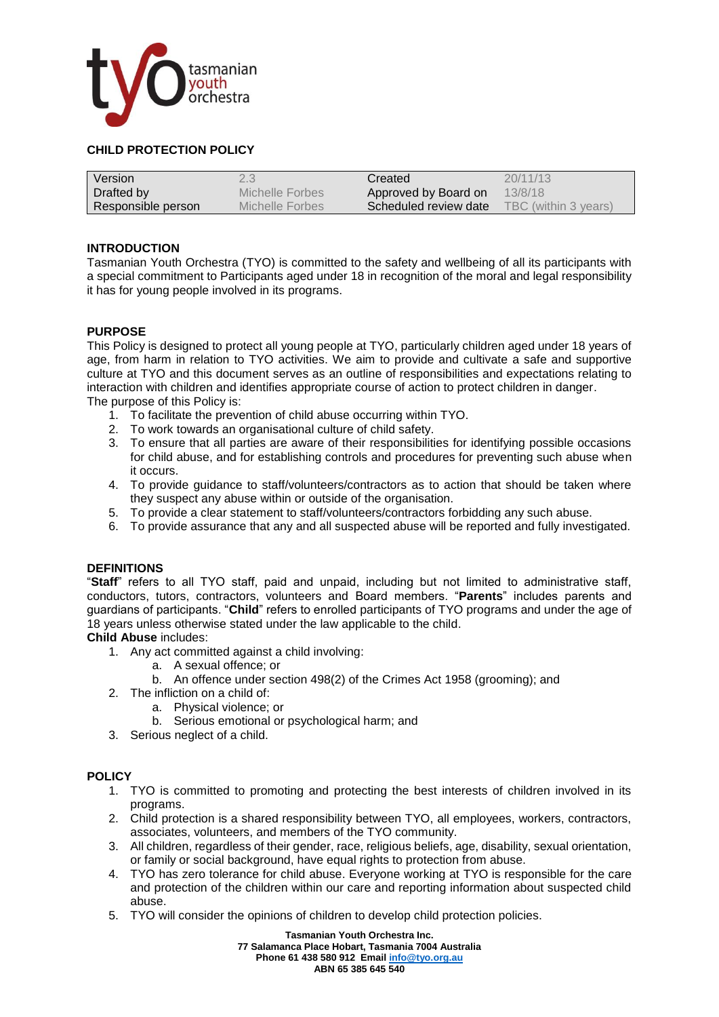

## **CHILD PROTECTION POLICY**

| Version            | 2.3             | Created               | 20/11/13             |
|--------------------|-----------------|-----------------------|----------------------|
| Drafted by         | Michelle Forbes | Approved by Board on  | 13/8/18              |
| Responsible person | Michelle Forbes | Scheduled review date | TBC (within 3 years) |

#### **INTRODUCTION**

Tasmanian Youth Orchestra (TYO) is committed to the safety and wellbeing of all its participants with a special commitment to Participants aged under 18 in recognition of the moral and legal responsibility it has for young people involved in its programs.

## **PURPOSE**

This Policy is designed to protect all young people at TYO, particularly children aged under 18 years of age, from harm in relation to TYO activities. We aim to provide and cultivate a safe and supportive culture at TYO and this document serves as an outline of responsibilities and expectations relating to interaction with children and identifies appropriate course of action to protect children in danger. The purpose of this Policy is:

- 1. To facilitate the prevention of child abuse occurring within TYO.
- 2. To work towards an organisational culture of child safety.
- 3. To ensure that all parties are aware of their responsibilities for identifying possible occasions for child abuse, and for establishing controls and procedures for preventing such abuse when it occurs.
- 4. To provide guidance to staff/volunteers/contractors as to action that should be taken where they suspect any abuse within or outside of the organisation.
- 5. To provide a clear statement to staff/volunteers/contractors forbidding any such abuse.
- 6. To provide assurance that any and all suspected abuse will be reported and fully investigated.

## **DEFINITIONS**

"**Staff**" refers to all TYO staff, paid and unpaid, including but not limited to administrative staff, conductors, tutors, contractors, volunteers and Board members. "**Parents**" includes parents and guardians of participants. "**Child**" refers to enrolled participants of TYO programs and under the age of 18 years unless otherwise stated under the law applicable to the child.

## **Child Abuse** includes:

- 1. Any act committed against a child involving:
	- a. A sexual offence; or
	- b. An offence under section 498(2) of the Crimes Act 1958 (grooming); and
- 2. The infliction on a child of:
	- a. Physical violence; or
	- b. Serious emotional or psychological harm; and
- 3. Serious neglect of a child.

## **POLICY**

- 1. TYO is committed to promoting and protecting the best interests of children involved in its programs.
- 2. Child protection is a shared responsibility between TYO, all employees, workers, contractors, associates, volunteers, and members of the TYO community.
- 3. All children, regardless of their gender, race, religious beliefs, age, disability, sexual orientation, or family or social background, have equal rights to protection from abuse.
- 4. TYO has zero tolerance for child abuse. Everyone working at TYO is responsible for the care and protection of the children within our care and reporting information about suspected child abuse.
- 5. TYO will consider the opinions of children to develop child protection policies.

**Tasmanian Youth Orchestra Inc.**

**77 Salamanca Place Hobart, Tasmania 7004 Australia**

**ABN 65 385 645 540**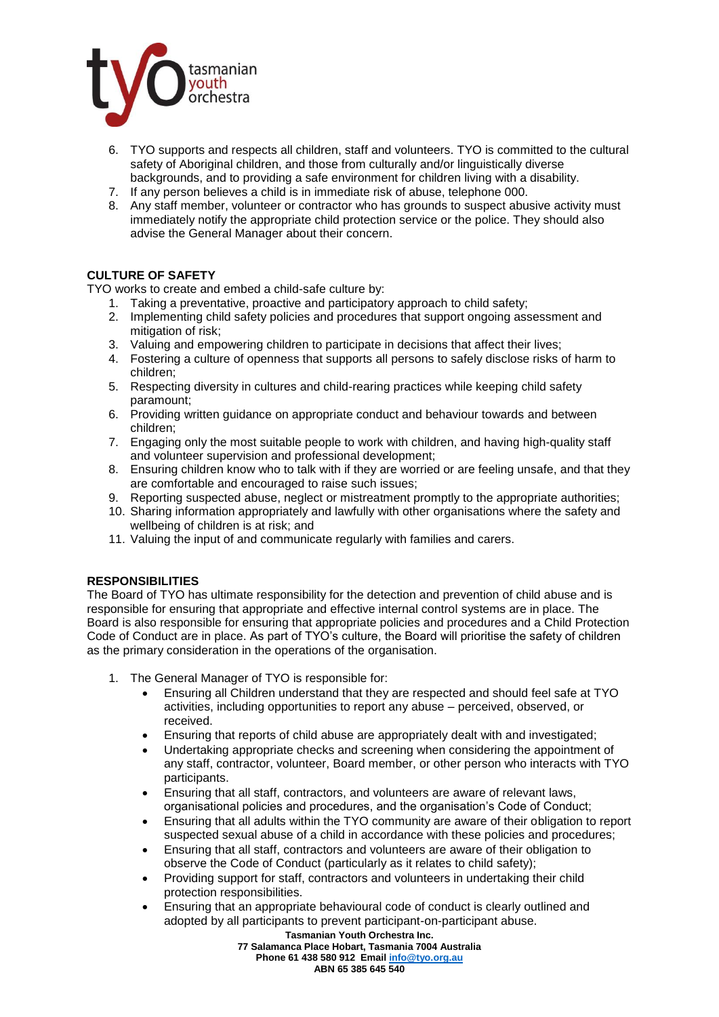

- 6. TYO supports and respects all children, staff and volunteers. TYO is committed to the cultural safety of Aboriginal children, and those from culturally and/or linguistically diverse backgrounds, and to providing a safe environment for children living with a disability.
- 7. If any person believes a child is in immediate risk of abuse, telephone 000.
- 8. Any staff member, volunteer or contractor who has grounds to suspect abusive activity must immediately notify the appropriate child protection service or the police. They should also advise the General Manager about their concern.

# **CULTURE OF SAFETY**

TYO works to create and embed a child-safe culture by:

- 1. Taking a preventative, proactive and participatory approach to child safety;
- 2. Implementing child safety policies and procedures that support ongoing assessment and mitigation of risk;
- 3. Valuing and empowering children to participate in decisions that affect their lives;
- 4. Fostering a culture of openness that supports all persons to safely disclose risks of harm to children;
- 5. Respecting diversity in cultures and child-rearing practices while keeping child safety paramount;
- 6. Providing written guidance on appropriate conduct and behaviour towards and between children;
- 7. Engaging only the most suitable people to work with children, and having high-quality staff and volunteer supervision and professional development;
- 8. Ensuring children know who to talk with if they are worried or are feeling unsafe, and that they are comfortable and encouraged to raise such issues;
- 9. Reporting suspected abuse, neglect or mistreatment promptly to the appropriate authorities;
- 10. Sharing information appropriately and lawfully with other organisations where the safety and wellbeing of children is at risk; and
- 11. Valuing the input of and communicate regularly with families and carers.

## **RESPONSIBILITIES**

The Board of TYO has ultimate responsibility for the detection and prevention of child abuse and is responsible for ensuring that appropriate and effective internal control systems are in place. The Board is also responsible for ensuring that appropriate policies and procedures and a Child Protection Code of Conduct are in place. As part of TYO's culture, the Board will prioritise the safety of children as the primary consideration in the operations of the organisation.

- 1. The General Manager of TYO is responsible for:
	- Ensuring all Children understand that they are respected and should feel safe at TYO activities, including opportunities to report any abuse – perceived, observed, or received.
	- Ensuring that reports of child abuse are appropriately dealt with and investigated;
	- Undertaking appropriate checks and screening when considering the appointment of any staff, contractor, volunteer, Board member, or other person who interacts with TYO participants.
	- Ensuring that all staff, contractors, and volunteers are aware of relevant laws, organisational policies and procedures, and the organisation's Code of Conduct;
	- Ensuring that all adults within the TYO community are aware of their obligation to report suspected sexual abuse of a child in accordance with these policies and procedures;
	- Ensuring that all staff, contractors and volunteers are aware of their obligation to observe the Code of Conduct (particularly as it relates to child safety);
	- Providing support for staff, contractors and volunteers in undertaking their child protection responsibilities.
	- Ensuring that an appropriate behavioural code of conduct is clearly outlined and adopted by all participants to prevent participant-on-participant abuse.

**Tasmanian Youth Orchestra Inc. 77 Salamanca Place Hobart, Tasmania 7004 Australia Phone 61 438 580 912 Emai[l info@tyo.org.au](mailto:info@tyo.org.au) ABN 65 385 645 540**